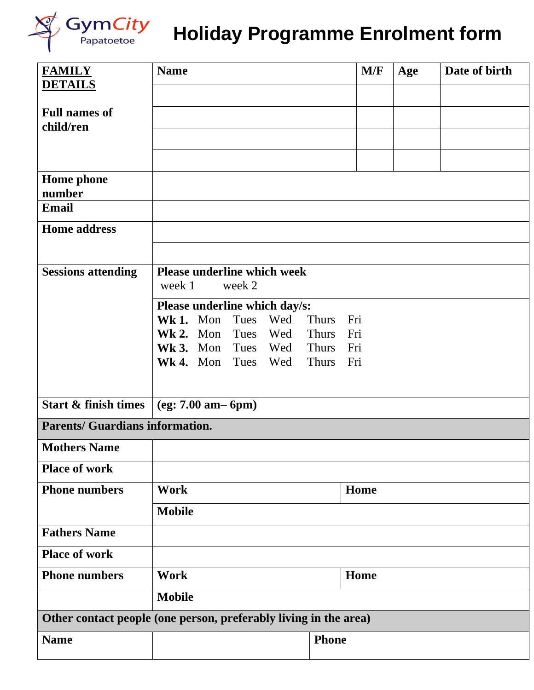

## Gym*City* Holiday Programme Enrolment form

| <b>FAMILY</b>                                                    | <b>Name</b>                                            |              |            |                              | M/F        | Age | Date of birth |
|------------------------------------------------------------------|--------------------------------------------------------|--------------|------------|------------------------------|------------|-----|---------------|
| <b>DETAILS</b>                                                   |                                                        |              |            |                              |            |     |               |
| <b>Full names of</b><br>child/ren                                |                                                        |              |            |                              |            |     |               |
|                                                                  |                                                        |              |            |                              |            |     |               |
|                                                                  |                                                        |              |            |                              |            |     |               |
| <b>Home</b> phone                                                |                                                        |              |            |                              |            |     |               |
| number                                                           |                                                        |              |            |                              |            |     |               |
| <b>Email</b>                                                     |                                                        |              |            |                              |            |     |               |
| <b>Home address</b>                                              |                                                        |              |            |                              |            |     |               |
|                                                                  |                                                        |              |            |                              |            |     |               |
| <b>Sessions attending</b>                                        | <b>Please underline which week</b><br>week 1<br>week 2 |              |            |                              |            |     |               |
|                                                                  | Please underline which day/s:                          |              |            |                              |            |     |               |
|                                                                  | Wk 1. Mon                                              | Tues         | Wed        | <b>Thurs</b>                 | Fri        |     |               |
|                                                                  | $Wk$ 2. Mon                                            | Tues         | Wed        | <b>Thurs</b>                 | Fri        |     |               |
|                                                                  | $Wk3.$ Mon<br>Wk 4. Mon                                | Tues<br>Tues | Wed<br>Wed | <b>Thurs</b><br><b>Thurs</b> | Fri<br>Fri |     |               |
|                                                                  |                                                        |              |            |                              |            |     |               |
| Start & finish times                                             | $(eg: 7.00 am-6pm)$                                    |              |            |                              |            |     |               |
| <b>Parents/ Guardians information.</b>                           |                                                        |              |            |                              |            |     |               |
| <b>Mothers Name</b>                                              |                                                        |              |            |                              |            |     |               |
| <b>Place of work</b>                                             |                                                        |              |            |                              |            |     |               |
| <b>Phone numbers</b>                                             | <b>Work</b>                                            |              |            |                              | Home       |     |               |
|                                                                  | <b>Mobile</b>                                          |              |            |                              |            |     |               |
| <b>Fathers Name</b>                                              |                                                        |              |            |                              |            |     |               |
| <b>Place of work</b>                                             |                                                        |              |            |                              |            |     |               |
| <b>Phone numbers</b>                                             | <b>Work</b><br>Home                                    |              |            |                              |            |     |               |
|                                                                  | <b>Mobile</b>                                          |              |            |                              |            |     |               |
| Other contact people (one person, preferably living in the area) |                                                        |              |            |                              |            |     |               |
| <b>Name</b>                                                      |                                                        |              |            | <b>Phone</b>                 |            |     |               |